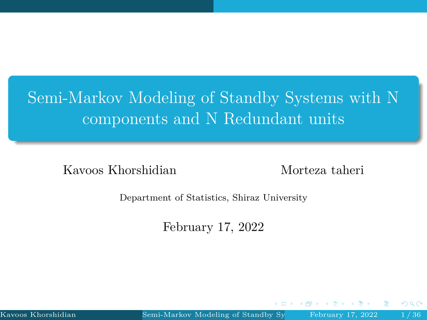# <span id="page-0-0"></span>Semi-Markov Modeling of Standby Systems with N components and N Redundant units

Kavoos Khorshidian Morteza taheri

Department of Statistics, Shiraz University

February 17, 2022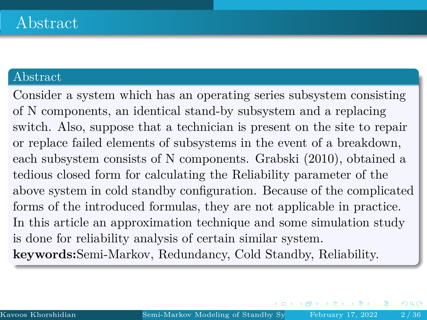#### Abstract

Consider a system which has an operating series subsystem consisting of N components, an identical stand-by subsystem and a replacing switch. Also, suppose that a technician is present on the site to repair or replace failed elements of subsystems in the event of a breakdown, each subsystem consists of N components. Grabski (2010), obtained a tedious closed form for calculating the Reliability parameter of the above system in cold standby configuration. Because of the complicated forms of the introduced formulas, they are not applicable in practice. In this article an approximation technique and some simulation study is done for reliability analysis of certain similar system. **keywords:**Semi-Markov, Redundancy, Cold Standby, Reliability.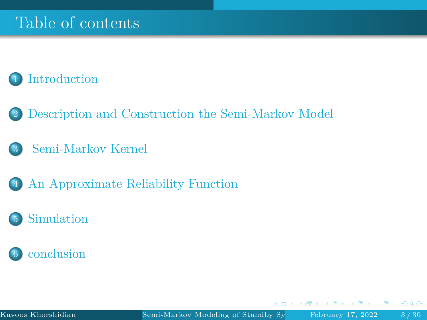## Table of contents

### **[Introduction](#page-3-0)**

- 2 [Description and Construction the Semi-Markov Model](#page-5-0)
- 3 [Semi-Markov Kernel](#page-10-0)
- 4 [An Approximate Reliability Function](#page-16-0)
- **[Simulation](#page-25-0)**



 $\leftarrow$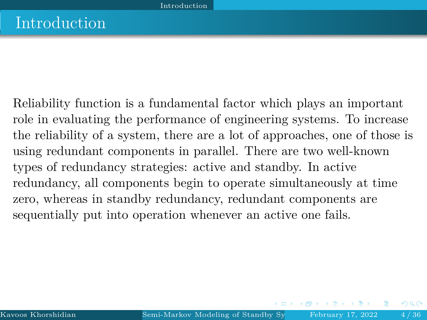<span id="page-3-0"></span>Reliability function is a fundamental factor which plays an important role in evaluating the performance of engineering systems. To increase the reliability of a system, there are a lot of approaches, one of those is using redundant components in parallel. There are two well-known types of redundancy strategies: active and standby. In active redundancy, all components begin to operate simultaneously at time zero, whereas in standby redundancy, redundant components are sequentially put into operation whenever an active one fails.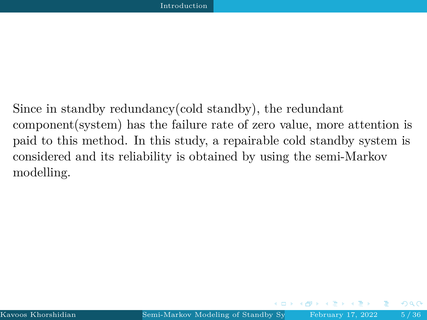Since in standby redundancy(cold standby), the redundant component(system) has the failure rate of zero value, more attention is paid to this method. In this study, a repairable cold standby system is considered and its reliability is obtained by using the semi-Markov modelling.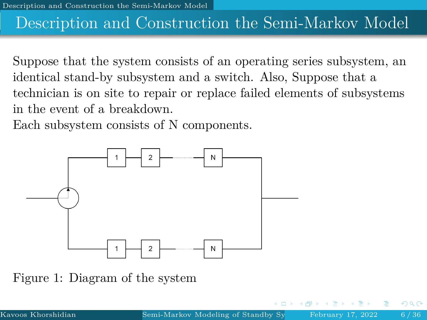## <span id="page-5-0"></span>Description and Construction the Semi-Markov Model

Suppose that the system consists of an operating series subsystem, an identical stand-by subsystem and a switch. Also, Suppose that a technician is on site to repair or replace failed elements of subsystems in the event of a breakdown.

Each subsystem consists of N components.



Figure 1: Diagram of the system

റാം ദ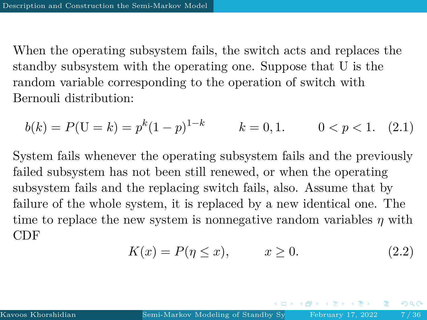When the operating subsystem fails, the switch acts and replaces the standby subsystem with the operating one. Suppose that U is the random variable corresponding to the operation of switch with Bernouli distribution:

$$
b(k) = P(U = k) = p^{k}(1-p)^{1-k} \qquad k = 0, 1. \qquad 0 < p < 1. \tag{2.1}
$$

System fails whenever the operating subsystem fails and the previously failed subsystem has not been still renewed, or when the operating subsystem fails and the replacing switch fails, also. Assume that by failure of the whole system, it is replaced by a new identical one. The time to replace the new system is nonnegative random variables *η* with CDF

$$
K(x) = P(\eta \le x), \qquad x \ge 0. \tag{2.2}
$$

 $QQ$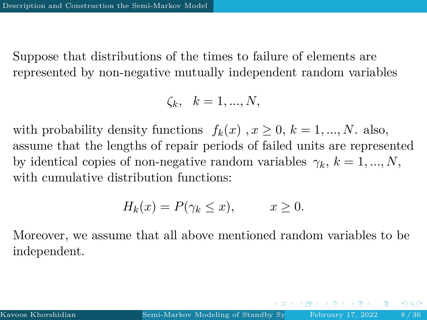Suppose that distributions of the times to failure of elements are represented by non-negative mutually independent random variables

$$
\zeta_k, \quad k=1,...,N,
$$

with probability density functions  $f_k(x)$ ,  $x \ge 0$ ,  $k = 1, ..., N$ . also, assume that the lengths of repair periods of failed units are represented by identical copies of non-negative random variables  $\gamma_k$ ,  $k = 1, ..., N$ , with cumulative distribution functions:

$$
H_k(x) = P(\gamma_k \le x), \qquad x \ge 0.
$$

Moreover, we assume that all above mentioned random variables to be independent.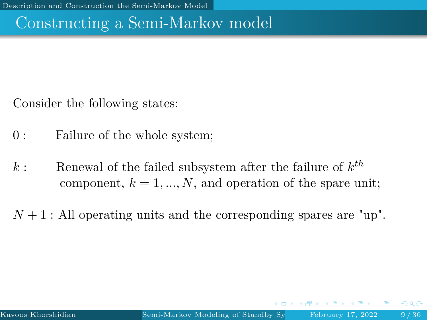## Constructing a Semi-Markov model

Consider the following states:

- 0 : Failure of the whole system;
- $k$ : Renewal of the failed subsystem after the failure of  $k^{th}$ component,  $k = 1, ..., N$ , and operation of the spare unit;

 $N+1$ : All operating units and the corresponding spares are "up".

 $\Omega$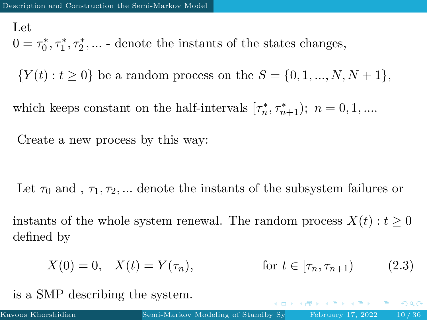Let

 $0 = \tau_0^*, \tau_1^*, \tau_2^*, \dots$  - denote the instants of the states changes,

 ${Y(t) : t \ge 0}$  be a random process on the  $S = \{0, 1, ..., N, N + 1\}$ ,

which keeps constant on the half-intervals  $[\tau_n^*, \tau_{n+1}^*); n = 0, 1, \dots$ 

Create a new process by this way:

Let  $\tau_0$  and ,  $\tau_1, \tau_2, \dots$  denote the instants of the subsystem failures or

instants of the whole system renewal. The random process  $X(t) : t \geq 0$ defined by

$$
X(0) = 0, \quad X(t) = Y(\tau_n), \qquad \text{for } t \in [\tau_n, \tau_{n+1}) \tag{2.3}
$$

is a SMP describing the system.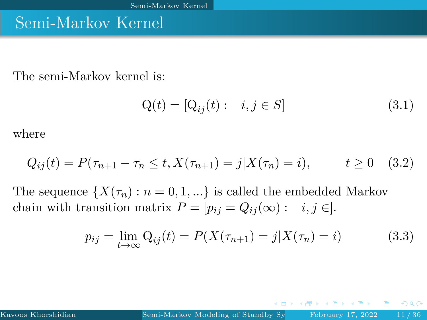### <span id="page-10-0"></span>Semi-Markov Kernel

The semi-Markov kernel is:

$$
Q(t) = [Q_{ij}(t) : i, j \in S]
$$
 (3.1)

where

$$
Q_{ij}(t) = P(\tau_{n+1} - \tau_n \le t, X(\tau_{n+1}) = j | X(\tau_n) = i), \qquad t \ge 0 \quad (3.2)
$$

The sequence  $\{X(\tau_n): n = 0, 1, ...\}$  is called the embedded Markov chain with transition matrix  $P = [p_{ij} = Q_{ij}(\infty) : i, j \in ]$ .

$$
p_{ij} = \lim_{t \to \infty} Q_{ij}(t) = P(X(\tau_{n+1}) = j | X(\tau_n) = i)
$$
 (3.3)

つひへ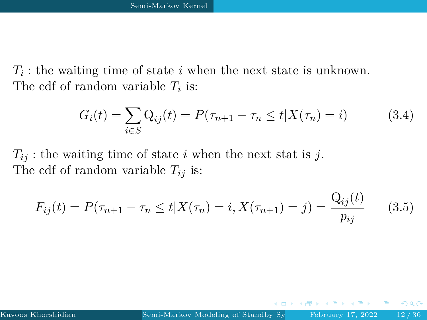*Ti* : the waiting time of state *i* when the next state is unknown. The cdf of random variable *T<sup>i</sup>* is:

$$
G_i(t) = \sum_{i \in S} Q_{ij}(t) = P(\tau_{n+1} - \tau_n \le t | X(\tau_n) = i)
$$
 (3.4)

 $T_{ij}$ : the waiting time of state *i* when the next stat is *j*. The cdf of random variable *Tij* is:

$$
F_{ij}(t) = P(\tau_{n+1} - \tau_n \le t | X(\tau_n) = i, X(\tau_{n+1}) = j) = \frac{Q_{ij}(t)}{p_{ij}} \qquad (3.5)
$$

つへへ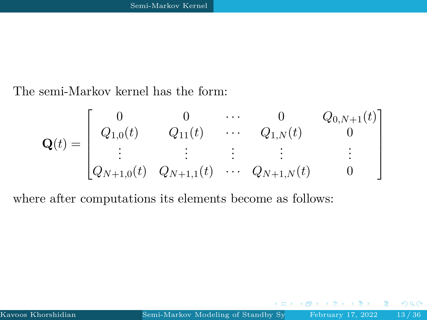The semi-Markov kernel has the form:

$$
\mathbf{Q}(t) = \begin{bmatrix} 0 & 0 & \cdots & 0 & Q_{0,N+1}(t) \\ Q_{1,0}(t) & Q_{11}(t) & \cdots & Q_{1,N}(t) & 0 \\ \vdots & \vdots & \vdots & \vdots & \vdots \\ Q_{N+1,0}(t) & Q_{N+1,1}(t) & \cdots & Q_{N+1,N}(t) & 0 \end{bmatrix}
$$

where after computations its elements become as follows:

 $QQ$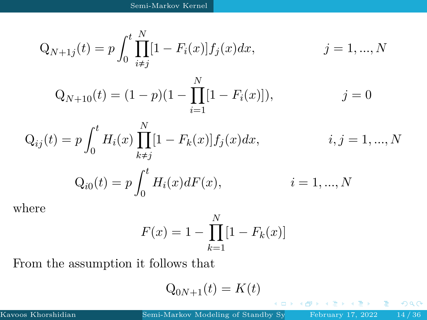$$
Q_{N+1j}(t) = p \int_0^t \prod_{i \neq j}^N [1 - F_i(x)] f_j(x) dx, \qquad j = 1, ..., N
$$

$$
Q_{N+10}(t) = (1-p)(1 - \prod_{i=1}^{N} [1 - F_i(x)]), \qquad j = 0
$$

$$
Q_{ij}(t) = p \int_0^t H_i(x) \prod_{k \neq j}^N [1 - F_k(x)] f_j(x) dx, \qquad i, j = 1, ..., N
$$
  

$$
Q_{i0}(t) = p \int_0^t H_i(x) dF(x), \qquad i = 1, ..., N
$$

where

$$
F(x) = 1 - \prod_{k=1}^{N} [1 - F_k(x)]
$$

From the assumption it follows that

$$
Q_{0N+1}(t) = K(t)
$$

4日 9

 $299$ 

重

重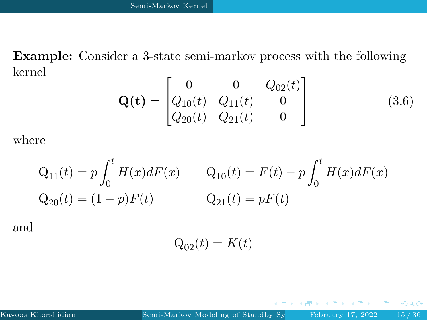**Example:** Consider a 3-state semi-markov process with the following kernel

$$
\mathbf{Q(t)} = \begin{bmatrix} 0 & 0 & Q_{02}(t) \\ Q_{10}(t) & Q_{11}(t) & 0 \\ Q_{20}(t) & Q_{21}(t) & 0 \end{bmatrix}
$$
(3.6)

where

$$
Q_{11}(t) = p \int_0^t H(x)dF(x) \qquad Q_{10}(t) = F(t) - p \int_0^t H(x)dF(x)
$$
  

$$
Q_{20}(t) = (1 - p)F(t) \qquad Q_{21}(t) = pF(t)
$$

and

$$
Q_{02}(t) = K(t)
$$

 $\leftarrow$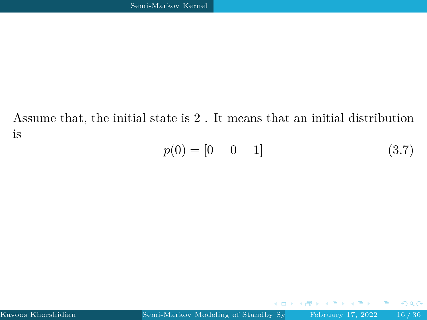Assume that, the initial state is 2 . It means that an initial distribution is

$$
p(0) = [0 \quad 0 \quad 1] \tag{3.7}
$$

ă.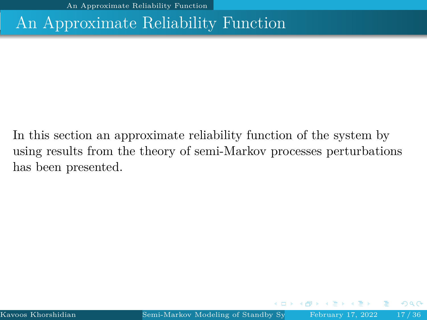### <span id="page-16-0"></span>An Approximate Reliability Function

In this section an approximate reliability function of the system by using results from the theory of semi-Markov processes perturbations has been presented.

つひへ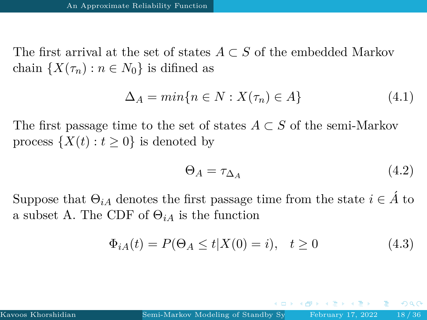The first arrival at the set of states  $A \subset S$  of the embedded Markov chain  $\{X(\tau_n): n \in N_0\}$  is difined as

$$
\Delta_A = \min\{n \in N : X(\tau_n) \in A\} \tag{4.1}
$$

The first passage time to the set of states  $A \subset S$  of the semi-Markov process  $\{X(t): t \geq 0\}$  is denoted by

$$
\Theta_A = \tau_{\Delta_A} \tag{4.2}
$$

Suppose that  $\Theta_{iA}$  denotes the first passage time from the state  $i \in \hat{A}$  to a subset A. The CDF of  $\Theta_{iA}$  is the function

$$
\Phi_{iA}(t) = P(\Theta_A \le t | X(0) = i), \quad t \ge 0 \tag{4.3}
$$

 $\Omega$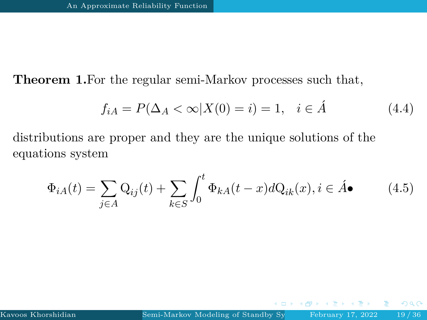**Theorem 1.**For the regular semi-Markov processes such that,

$$
f_{iA} = P(\Delta_A < \infty | X(0) = i) = 1, \quad i \in \hat{A}
$$
 (4.4)

distributions are proper and they are the unique solutions of the equations system

$$
\Phi_{iA}(t) = \sum_{j \in A} \mathcal{Q}_{ij}(t) + \sum_{k \in S} \int_0^t \Phi_{kA}(t-x) d\mathcal{Q}_{ik}(x), i \in \hat{A} \bullet
$$
\n(4.5)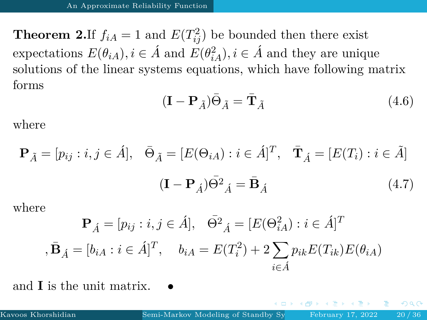**Theorem 2.**If  $f_{iA} = 1$  and  $E(T_{ij}^2)$  be bounded then there exist expectations  $E(\theta_{iA}), i \in \hat{A}$  and  $E(\theta_{iA}^2), i \in \hat{A}$  and they are unique solutions of the linear systems equations, which have following matrix forms

<span id="page-19-0"></span>
$$
(\mathbf{I} - \mathbf{P}_{\tilde{A}})\bar{\Theta}_{\tilde{A}} = \bar{\mathbf{T}}_{\tilde{A}} \tag{4.6}
$$

where

$$
\mathbf{P}_{\tilde{A}} = [p_{ij} : i, j \in \hat{A}], \quad \bar{\Theta}_{\tilde{A}} = [E(\Theta_{iA}) : i \in \hat{A}]^T, \quad \bar{\mathbf{T}}_{\tilde{A}} = [E(T_i) : i \in \tilde{A}]
$$

$$
(\mathbf{I} - \mathbf{P}_{\tilde{A}})\bar{\Theta}^2{}_{\tilde{A}} = \bar{\mathbf{B}}_{\tilde{A}} \tag{4.7}
$$

where

$$
\mathbf{P}_{\hat{A}} = [p_{ij} : i, j \in \hat{A}], \quad \bar{\Theta}^2_{\hat{A}} = [E(\Theta_{iA}^2) : i \in \hat{A}]^T
$$
  
,  $\bar{\mathbf{B}}_{\hat{A}} = [b_{iA} : i \in \hat{A}]^T$ ,  $b_{iA} = E(T_i^2) + 2 \sum_{i \in \hat{A}} p_{ik} E(T_{ik}) E(\theta_{iA})$ 

and **I** is the unit matrix.

 $\Omega$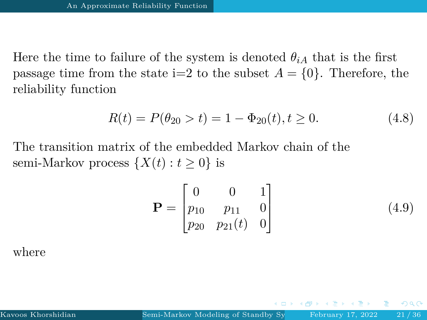Here the time to failure of the system is denoted  $\theta_{iA}$  that is the first passage time from the state  $i=2$  to the subset  $A = \{0\}$ . Therefore, the reliability function

$$
R(t) = P(\theta_{20} > t) = 1 - \Phi_{20}(t), t \ge 0.
$$
\n(4.8)

The transition matrix of the embedded Markov chain of the semi-Markov process  $\{X(t): t \geq 0\}$  is

$$
\mathbf{P} = \begin{bmatrix} 0 & 0 & 1 \\ p_{10} & p_{11} & 0 \\ p_{20} & p_{21}(t) & 0 \end{bmatrix}
$$
(4.9)

 $\Omega$ 

where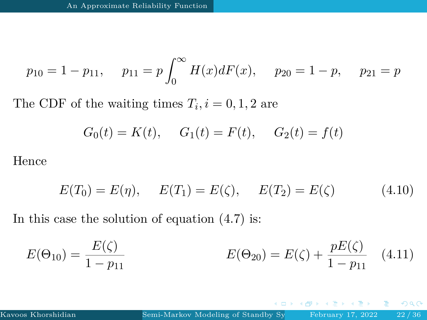$$
p_{10} = 1 - p_{11}
$$
,  $p_{11} = p \int_0^\infty H(x) dF(x)$ ,  $p_{20} = 1 - p$ ,  $p_{21} = p$ 

The CDF of the waiting times  $T_i$ ,  $i = 0, 1, 2$  are

$$
G_0(t) = K(t)
$$
,  $G_1(t) = F(t)$ ,  $G_2(t) = f(t)$ 

Hence

$$
E(T_0) = E(\eta), \quad E(T_1) = E(\zeta), \quad E(T_2) = E(\zeta)
$$
 (4.10)

In this case the solution of equation [\(4.7\)](#page-19-0) is:

$$
E(\Theta_{10}) = \frac{E(\zeta)}{1 - p_{11}} \qquad E(\Theta_{20}) = E(\zeta) + \frac{pE(\zeta)}{1 - p_{11}} \quad (4.11)
$$

 $QQ$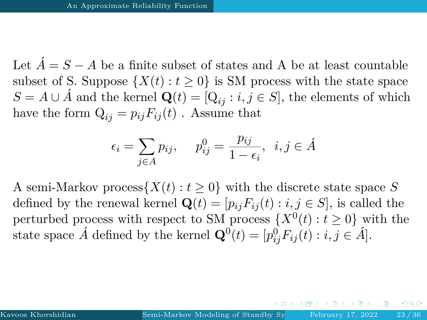Let  $\hat{A} = S - A$  be a finite subset of states and A be at least countable subset of S. Suppose  $\{X(t): t \geq 0\}$  is SM process with the state space *S* = *A* ∪ *Á* and the kernel  $\mathbf{Q}(t) = [\mathbf{Q}_{ij} : i, j \in S]$ , the elements of which have the form  $Q_{ij} = p_{ij}F_{ij}(t)$ . Assume that

$$
\epsilon_i = \sum_{j \in A} p_{ij}, \quad p_{ij}^0 = \frac{p_{ij}}{1 - \epsilon_i}, \ i, j \in \hat{A}
$$

A semi-Markov process $\{X(t): t \geq 0\}$  with the discrete state space S defined by the renewal kernel  $\mathbf{Q}(t) = [p_{ij}F_{ij}(t) : i, j \in S]$ , is called the perturbed process with respect to SM process  $\{X^0(t): t \geq 0\}$  with the state space  $\hat{A}$  defined by the kernel  $\mathbf{Q}^0(t) = [p_{ij}^0 F_{ij}(t) : i, j \in \hat{A}].$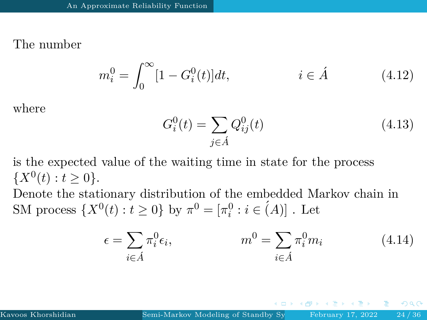### The number

$$
m_i^0 = \int_0^\infty [1 - G_i^0(t)]dt, \qquad i \in \hat{A} \tag{4.12}
$$

where

$$
G_i^0(t) = \sum_{j \in \hat{A}} Q_{ij}^0(t)
$$
\n(4.13)

is the expected value of the waiting time in state for the process  $\{X^0(t): t \geq 0\}.$ 

Denote the stationary distribution of the embedded Markov chain in SM process  $\{X^0(t) : t \ge 0\}$  by  $\pi^0 = [\pi_i^0 : i \in (A)]$ . Let

$$
\epsilon = \sum_{i \in \mathring{A}} \pi_i^0 \epsilon_i, \qquad m^0 = \sum_{i \in \mathring{A}} \pi_i^0 m_i \qquad (4.14)
$$

 $\Omega$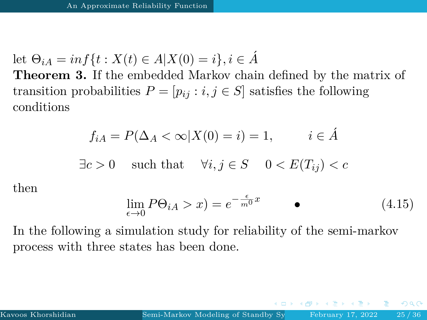let  $\Theta_{iA} = \inf \{ t : X(t) \in A | X(0) = i \}, i \in \hat{A}$ 

**Theorem 3.** If the embedded Markov chain defined by the matrix of transition probabilities  $P = [p_{ij} : i, j \in S]$  satisfies the following conditions

$$
f_{iA} = P(\Delta_A < \infty | X(0) = i) = 1, \qquad i \in \hat{A}
$$

$$
\exists c > 0
$$
 such that  $\forall i, j \in S$   $0 < E(T_{ij}) < c$ 

then

$$
\lim_{\epsilon \to 0} P\Theta_{iA} > x) = e^{-\frac{\epsilon}{m^0}x} \qquad \bullet \tag{4.15}
$$

In the following a simulation study for reliability of the semi-markov process with three states has been done.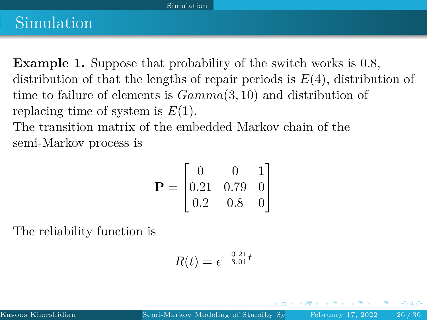#### [Simulation](#page-25-0)

### <span id="page-25-0"></span>Simulation

**Example 1.** Suppose that probability of the switch works is 0.8, distribution of that the lengths of repair periods is *E*(4), distribution of time to failure of elements is *Gamma*(3*,* 10) and distribution of replacing time of system is *E*(1).

The transition matrix of the embedded Markov chain of the semi-Markov process is

$$
\mathbf{P} = \begin{bmatrix} 0 & 0 & 1 \\ 0.21 & 0.79 & 0 \\ 0.2 & 0.8 & 0 \end{bmatrix}
$$

The reliability function is

$$
R(t) = e^{-\frac{0.21}{3.01}t}
$$

つひへ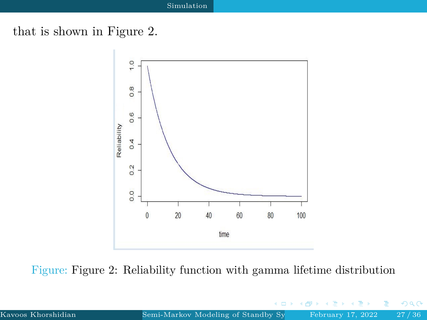### that is shown in Figure 2.



Figure: Figure 2: Reliability function with gamma lifetime distribution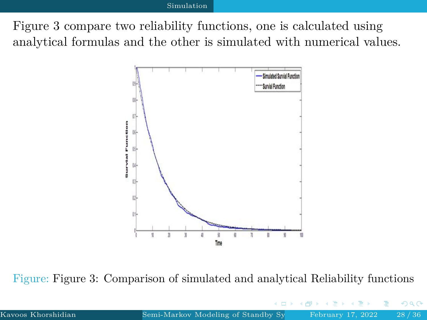#### [Simulation](#page-25-0)

Figure 3 compare two reliability functions, one is calculated using analytical formulas and the other is simulated with numerical values.



Figure: Figure 3: Comparison of simulated and analytical Reliability functions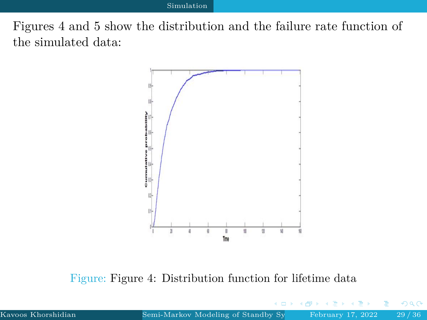Figures 4 and 5 show the distribution and the failure rate function of the simulated data:



Figure: Figure 4: Distribution function for lifetime data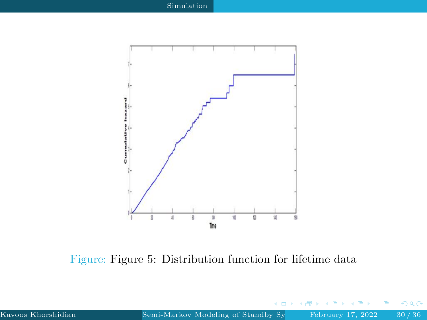

Figure: Figure 5: Distribution function for lifetime data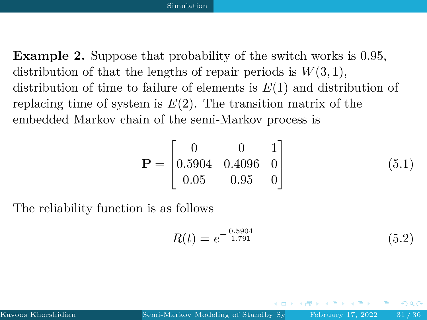**Example 2.** Suppose that probability of the switch works is 0.95, distribution of that the lengths of repair periods is  $W(3, 1)$ , distribution of time to failure of elements is *E*(1) and distribution of replacing time of system is  $E(2)$ . The transition matrix of the embedded Markov chain of the semi-Markov process is

$$
\mathbf{P} = \begin{bmatrix} 0 & 0 & 1 \\ 0.5904 & 0.4096 & 0 \\ 0.05 & 0.95 & 0 \end{bmatrix}
$$
 (5.1)

The reliability function is as follows

$$
R(t) = e^{-\frac{0.5904}{1.791}}
$$
\n(5.2)

つひへ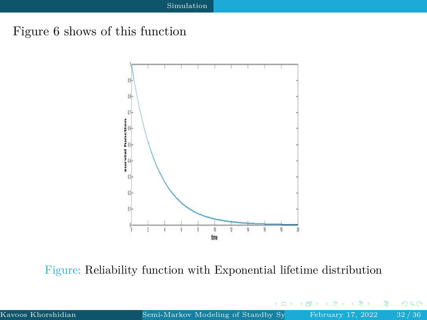### Figure 6 shows of this function



Figure: Reliability function with Exponential lifetime distribution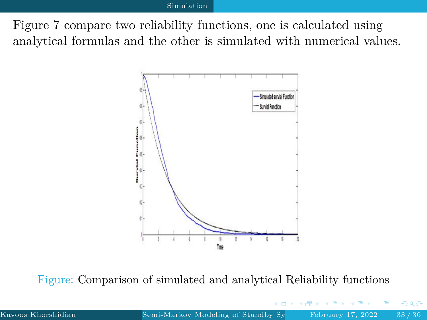#### [Simulation](#page-25-0)

Figure 7 compare two reliability functions, one is calculated using analytical formulas and the other is simulated with numerical values.



Figure: Comparison of simulated and analytical Reliability functions

 $\Omega$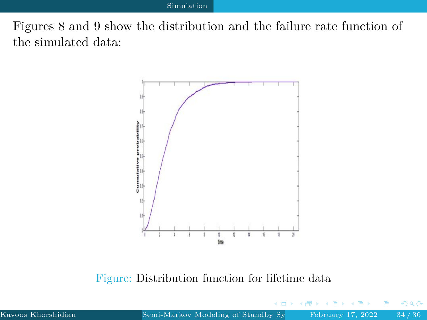Figures 8 and 9 show the distribution and the failure rate function of the simulated data:



Figure: Distribution function for lifetime data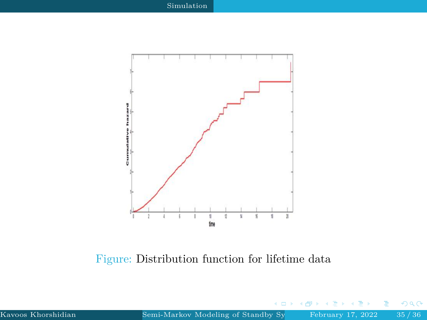<span id="page-34-0"></span>

Figure: Distribution function for lifetime data

 $\Box$ 

 $299$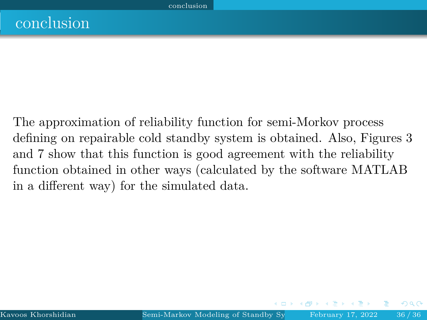<span id="page-35-0"></span>The approximation of reliability function for semi-Morkov process defining on repairable cold standby system is obtained. Also, Figures 3 and 7 show that this function is good agreement with the reliability function obtained in other ways (calculated by the software MATLAB in a different way) for the simulated data.

つひへ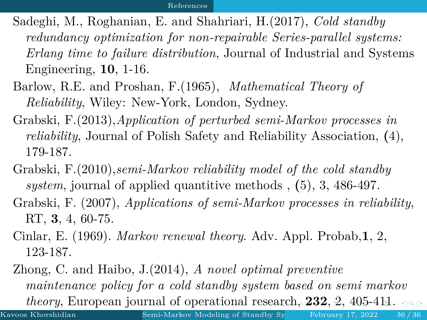- <span id="page-36-0"></span>Sadeghi, M., Roghanian, E. and Shahriari, H.(2017), *Cold standby redundancy optimization for non-repairable Series-parallel systems: Erlang time to failure distribution*, Journal of Industrial and Systems Engineering, **10**, 1-16.
- Barlow, R.E. and Proshan, F.(1965), *Mathematical Theory of Reliability*, Wiley: New-York, London, Sydney.
- Grabski, F.(2013),*Application of perturbed semi-Markov processes in reliability*, Journal of Polish Safety and Reliability Association, **(**4), 179-187.
- Grabski, F.(2010),*semi-Markov reliability model of the cold standby system*, journal of applied quantitive methods , **(**5), 3, 486-497.
- Grabski, F. (2007), *Applications of semi-Markov processes in reliability*, RT, **3**, 4, 60-75.
- Cinlar, E. (1969). *Markov renewal theory*. Adv. Appl. Probab,**1**, 2, 123-187.
- Zhong, C. and Haibo, J.(2014), *A novel optimal preventive maintenance policy for a cold standby system based on semi markov theory*, European journal of operational res[ear](#page-35-0)[ch](#page-37-0)[,](#page-34-0) **[2](#page-35-0)[3](#page-36-0)[2](#page-34-0)**[,](#page-35-0) [2,](#page-37-0) [4](#page-34-0)[0](#page-35-0)[5-](#page-37-0)[41](#page-0-0)[1.](#page-37-0)